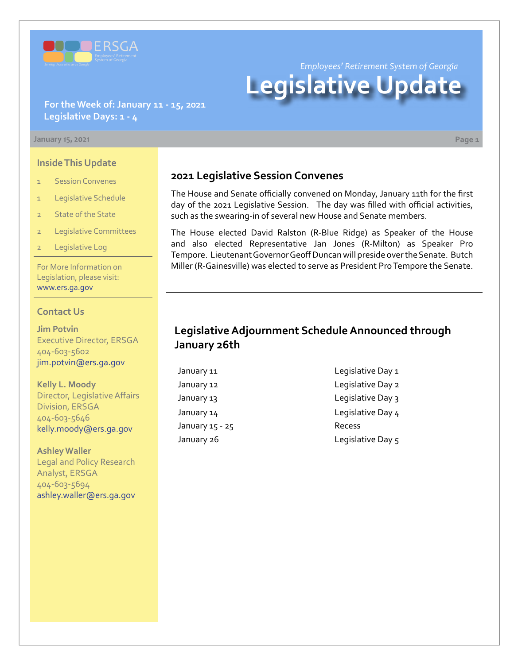

*Employees' Retirement System of Georgia*

# **Legislative Update**

### **For the Week of: January 11 - 15, 2021 Legislative Days: 1 - 4**

#### **January 15, 2021 Page 1**

#### **Inside This Update**

- 1 Session Convenes
- 1 Legislative Schedule
- 2 State of the State
- 2 Legislative Committees
- Legislative Log

For More Information on Legislation, please visit: [www.ers.ga.gov](http://www.ers.ga.gov/default.aspx)

#### **Contact Us**

**Jim Potvin** Executive Director, ERSGA 404-603-5602 jim.potvin@ers.ga.gov

**Kelly L. Moody** Director, Legislative Affairs Division, ERSGA 404-603-5646 kelly.moody@ers.ga.gov

**Ashley Waller** Legal and Policy Research Analyst, ERSGA 404-603-5694 ashley.waller@ers.ga.gov

### **2021 Legislative Session Convenes**

The House and Senate officially convened on Monday, January 11th for the first day of the 2021 Legislative Session. The day was filled with official activities, such as the swearing-in of several new House and Senate members.

The House elected David Ralston (R-Blue Ridge) as Speaker of the House and also elected Representative Jan Jones (R-Milton) as Speaker Pro Tempore. Lieutenant Governor Geoff Duncan will preside over the Senate. Butch Miller (R-Gainesville) was elected to serve as President Pro Tempore the Senate.

## **Legislative Adjournment Schedule Announced through January 26th**

- January 15 25 Recess
- January 11 Legislative Day 1 January 12 Legislative Day 2 January 13 Legislative Day 3 January 14 diagrams and the Legislative Day 4 January 26 **Legislative Day 5**